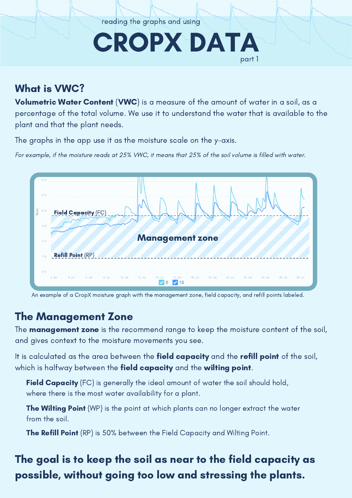reading the graphs and using

# CROPX DATA part 1

### What is VWC?

Volumetric Water Content (VWC) is a measure of the amount of water in a soil, as a percentage of the total volume. We use it to understand the water that is available to the plant and that the plant needs.

The graphs in the app use it as the moisture scale on the y-axis.

For example, if the moisture reads at 25% VWC, it means that 25% of the soil volume is filled with water.



An example of a CropX moisture graph with the management zone, field capacity, and refill points labeled.

### The Management Zone

The **management zone** is the recommend range to keep the moisture content of the soil, and gives context to the moisture movements you see.

It is calculated as the area between the **field capacity** and the **refill point** of the soil, which is halfway between the **field capacity** and the **wilting point**.

Field Capacity (FC) is generally the ideal amount of water the soil should hold, where there is the most water availability for a plant.

**The Wilting Point** (WP) is the point at which plants can no longer extract the water from the soil.

The Refill Point (RP) is 50% between the Field Capacity and Wilting Point.

## The goal is to keep the soil as near to the field capacity as possible, without going too low and stressing the plants.